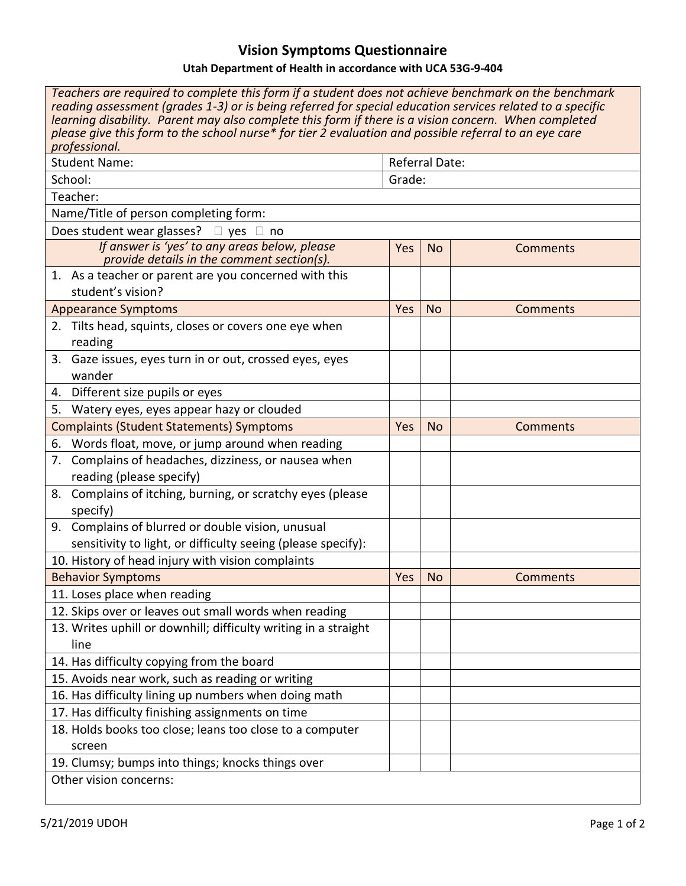## **Vision Symptoms Questionnaire**

## **Utah Department of Health in accordance with UCA 53G-9-404**

| Teachers are required to complete this form if a student does not achieve benchmark on the benchmark<br>reading assessment (grades 1-3) or is being referred for special education services related to a specific<br>learning disability. Parent may also complete this form if there is a vision concern. When completed<br>please give this form to the school nurse* for tier 2 evaluation and possible referral to an eye care<br>professional. |                       |                              |                 |  |  |  |
|-----------------------------------------------------------------------------------------------------------------------------------------------------------------------------------------------------------------------------------------------------------------------------------------------------------------------------------------------------------------------------------------------------------------------------------------------------|-----------------------|------------------------------|-----------------|--|--|--|
| <b>Student Name:</b>                                                                                                                                                                                                                                                                                                                                                                                                                                | <b>Referral Date:</b> |                              |                 |  |  |  |
| School:                                                                                                                                                                                                                                                                                                                                                                                                                                             | Grade:                |                              |                 |  |  |  |
| Teacher:                                                                                                                                                                                                                                                                                                                                                                                                                                            |                       |                              |                 |  |  |  |
| Name/Title of person completing form:                                                                                                                                                                                                                                                                                                                                                                                                               |                       |                              |                 |  |  |  |
| Does student wear glasses? $\Box$ yes $\Box$ no                                                                                                                                                                                                                                                                                                                                                                                                     |                       |                              |                 |  |  |  |
| If answer is 'yes' to any areas below, please<br>provide details in the comment section(s).                                                                                                                                                                                                                                                                                                                                                         | Yes                   | <b>No</b><br><b>Comments</b> |                 |  |  |  |
| 1. As a teacher or parent are you concerned with this<br>student's vision?                                                                                                                                                                                                                                                                                                                                                                          |                       |                              |                 |  |  |  |
| <b>Appearance Symptoms</b>                                                                                                                                                                                                                                                                                                                                                                                                                          | Yes                   | <b>No</b>                    | <b>Comments</b> |  |  |  |
| 2. Tilts head, squints, closes or covers one eye when<br>reading                                                                                                                                                                                                                                                                                                                                                                                    |                       |                              |                 |  |  |  |
| 3. Gaze issues, eyes turn in or out, crossed eyes, eyes<br>wander                                                                                                                                                                                                                                                                                                                                                                                   |                       |                              |                 |  |  |  |
| 4. Different size pupils or eyes                                                                                                                                                                                                                                                                                                                                                                                                                    |                       |                              |                 |  |  |  |
| Watery eyes, eyes appear hazy or clouded<br>5.                                                                                                                                                                                                                                                                                                                                                                                                      |                       |                              |                 |  |  |  |
| <b>Complaints (Student Statements) Symptoms</b>                                                                                                                                                                                                                                                                                                                                                                                                     | Yes                   | <b>No</b>                    | <b>Comments</b> |  |  |  |
| 6. Words float, move, or jump around when reading                                                                                                                                                                                                                                                                                                                                                                                                   |                       |                              |                 |  |  |  |
| 7. Complains of headaches, dizziness, or nausea when<br>reading (please specify)                                                                                                                                                                                                                                                                                                                                                                    |                       |                              |                 |  |  |  |
| 8. Complains of itching, burning, or scratchy eyes (please<br>specify)                                                                                                                                                                                                                                                                                                                                                                              |                       |                              |                 |  |  |  |
| 9. Complains of blurred or double vision, unusual<br>sensitivity to light, or difficulty seeing (please specify):                                                                                                                                                                                                                                                                                                                                   |                       |                              |                 |  |  |  |
| 10. History of head injury with vision complaints                                                                                                                                                                                                                                                                                                                                                                                                   |                       |                              |                 |  |  |  |
| <b>Behavior Symptoms</b>                                                                                                                                                                                                                                                                                                                                                                                                                            | Yes                   | <b>No</b>                    | <b>Comments</b> |  |  |  |
| 11. Loses place when reading                                                                                                                                                                                                                                                                                                                                                                                                                        |                       |                              |                 |  |  |  |
| 12. Skips over or leaves out small words when reading                                                                                                                                                                                                                                                                                                                                                                                               |                       |                              |                 |  |  |  |
| 13. Writes uphill or downhill; difficulty writing in a straight<br>line                                                                                                                                                                                                                                                                                                                                                                             |                       |                              |                 |  |  |  |
| 14. Has difficulty copying from the board                                                                                                                                                                                                                                                                                                                                                                                                           |                       |                              |                 |  |  |  |
| 15. Avoids near work, such as reading or writing                                                                                                                                                                                                                                                                                                                                                                                                    |                       |                              |                 |  |  |  |
| 16. Has difficulty lining up numbers when doing math                                                                                                                                                                                                                                                                                                                                                                                                |                       |                              |                 |  |  |  |
| 17. Has difficulty finishing assignments on time                                                                                                                                                                                                                                                                                                                                                                                                    |                       |                              |                 |  |  |  |
| 18. Holds books too close; leans too close to a computer<br>screen                                                                                                                                                                                                                                                                                                                                                                                  |                       |                              |                 |  |  |  |
| 19. Clumsy; bumps into things; knocks things over                                                                                                                                                                                                                                                                                                                                                                                                   |                       |                              |                 |  |  |  |
| Other vision concerns:                                                                                                                                                                                                                                                                                                                                                                                                                              |                       |                              |                 |  |  |  |
|                                                                                                                                                                                                                                                                                                                                                                                                                                                     |                       |                              |                 |  |  |  |